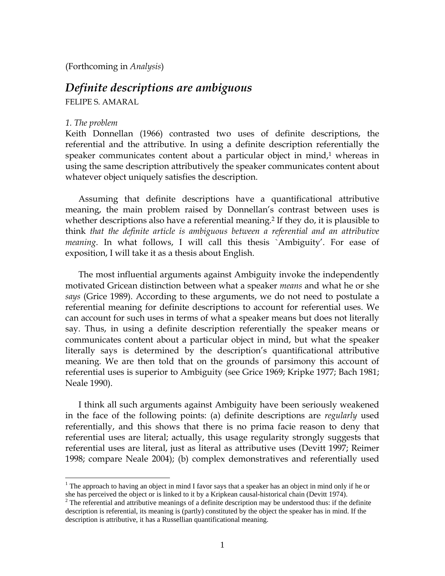(Forthcoming in *Analysis*)

# *Definite descriptions are ambiguous*

FELIPE S. AMARAL

### *1. The problem*

Keith Donnellan (1966) contrasted two uses of definite descriptions, the referential and the attributive. In using a definite description referentially the speaker communicates content about a particular object in mind, $1$  whereas in using the same description attributively the speaker communicates content about whatever object uniquely satisfies the description.

Assuming that definite descriptions have a quantificational attributive meaning, the main problem raised by Donnellan's contrast between uses is whether descriptions also have a referential meaning.<sup>2</sup> If they do, it is plausible to think *that the definite article is ambiguous between a referential and an attributive meaning*. In what follows, I will call this thesis `Ambiguity'. For ease of exposition, I will take it as a thesis about English.

The most influential arguments against Ambiguity invoke the independently motivated Gricean distinction between what a speaker *means* and what he or she *says* (Grice 1989). According to these arguments, we do not need to postulate a referential meaning for definite descriptions to account for referential uses. We can account for such uses in terms of what a speaker means but does not literally say. Thus, in using a definite description referentially the speaker means or communicates content about a particular object in mind, but what the speaker literally says is determined by the description's quantificational attributive meaning. We are then told that on the grounds of parsimony this account of referential uses is superior to Ambiguity (see Grice 1969; Kripke 1977; Bach 1981; Neale 1990).

I think all such arguments against Ambiguity have been seriously weakened in the face of the following points: (a) definite descriptions are *regularly* used referentially, and this shows that there is no prima facie reason to deny that referential uses are literal; actually, this usage regularity strongly suggests that referential uses are literal, just as literal as attributive uses (Devitt 1997; Reimer 1998; compare Neale 2004); (b) complex demonstratives and referentially used

<span id="page-0-0"></span> $\frac{1}{1}$ <sup>1</sup> The approach to having an object in mind I favor says that a speaker has an object in mind only if he or she has perceived the object or is linked to it by a Kripkean causal-historical chain (Devitt 1974).<br><sup>2</sup> The referential and attributive meanings of a definite description may be understood thus: if the definite

<span id="page-0-1"></span>description is referential, its meaning is (partly) constituted by the object the speaker has in mind. If the description is attributive, it has a Russellian quantificational meaning.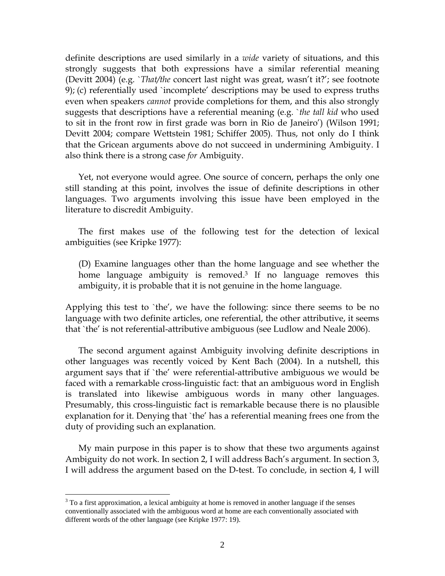definite descriptions are used similarly in a *wide* variety of situations, and this strongly suggests that both expressions have a similar referential meaning (Devitt 2004) (e.g. `*That/the* concert last night was great, wasn't it?'; see footnote 9); (c) referentially used `incomplete' descriptions may be used to express truths even when speakers *cannot* provide completions for them, and this also strongly suggests that descriptions have a referential meaning (e.g. `*the tall kid* who used to sit in the front row in first grade was born in Rio de Janeiro') (Wilson 1991; Devitt 2004; compare Wettstein 1981; Schiffer 2005). Thus, not only do I think that the Gricean arguments above do not succeed in undermining Ambiguity. I also think there is a strong case *for* Ambiguity.

Yet, not everyone would agree. One source of concern, perhaps the only one still standing at this point, involves the issue of definite descriptions in other languages. Two arguments involving this issue have been employed in the literature to discredit Ambiguity.

The first makes use of the following test for the detection of lexical ambiguities (see Kripke 1977):

(D) Examine languages other than the home language and see whether the home language ambiguity is removed.<sup>3</sup> If no language removes this ambiguity, it is probable that it is not genuine in the home language.

Applying this test to `the', we have the following: since there seems to be no language with two definite articles, one referential, the other attributive, it seems that `the' is not referential-attributive ambiguous (see Ludlow and Neale 2006).

The second argument against Ambiguity involving definite descriptions in other languages was recently voiced by Kent Bach (2004). In a nutshell, this argument says that if `the' were referential-attributive ambiguous we would be faced with a remarkable cross-linguistic fact: that an ambiguous word in English is translated into likewise ambiguous words in many other languages. Presumably, this cross-linguistic fact is remarkable because there is no plausible explanation for it. Denying that `the' has a referential meaning frees one from the duty of providing such an explanation.

My main purpose in this paper is to show that these two arguments against Ambiguity do not work. In section 2, I will address Bach's argument. In section 3, I will address the argument based on the D-test. To conclude, in section 4, I will

<span id="page-1-0"></span> $\frac{1}{3}$ <sup>3</sup> To a first approximation, a lexical ambiguity at home is removed in another language if the senses conventionally associated with the ambiguous word at home are each conventionally associated with different words of the other language (see Kripke 1977: 19).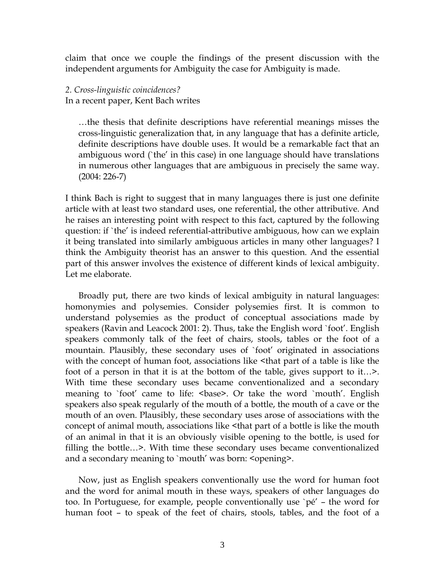claim that once we couple the findings of the present discussion with the independent arguments for Ambiguity the case for Ambiguity is made.

*2. Cross-linguistic coincidences?* 

In a recent paper, Kent Bach writes

…the thesis that definite descriptions have referential meanings misses the cross-linguistic generalization that, in any language that has a definite article, definite descriptions have double uses. It would be a remarkable fact that an ambiguous word (`the' in this case) in one language should have translations in numerous other languages that are ambiguous in precisely the same way. (2004: 226-7)

I think Bach is right to suggest that in many languages there is just one definite article with at least two standard uses, one referential, the other attributive. And he raises an interesting point with respect to this fact, captured by the following question: if `the' is indeed referential-attributive ambiguous, how can we explain it being translated into similarly ambiguous articles in many other languages? I think the Ambiguity theorist has an answer to this question. And the essential part of this answer involves the existence of different kinds of lexical ambiguity. Let me elaborate.

Broadly put, there are two kinds of lexical ambiguity in natural languages: homonymies and polysemies. Consider polysemies first. It is common to understand polysemies as the product of conceptual associations made by speakers (Ravin and Leacock 2001: 2). Thus, take the English word `foot'. English speakers commonly talk of the feet of chairs, stools, tables or the foot of a mountain. Plausibly, these secondary uses of `foot' originated in associations with the concept of human foot, associations like <that part of a table is like the foot of a person in that it is at the bottom of the table, gives support to it…>. With time these secondary uses became conventionalized and a secondary meaning to `foot' came to life: <br/>base>. Or take the word `mouth'. English speakers also speak regularly of the mouth of a bottle, the mouth of a cave or the mouth of an oven. Plausibly, these secondary uses arose of associations with the concept of animal mouth, associations like <that part of a bottle is like the mouth of an animal in that it is an obviously visible opening to the bottle, is used for filling the bottle…>. With time these secondary uses became conventionalized and a secondary meaning to `mouth' was born: <opening>.

Now, just as English speakers conventionally use the word for human foot and the word for animal mouth in these ways, speakers of other languages do too. In Portuguese, for example, people conventionally use `pé' – the word for human foot – to speak of the feet of chairs, stools, tables, and the foot of a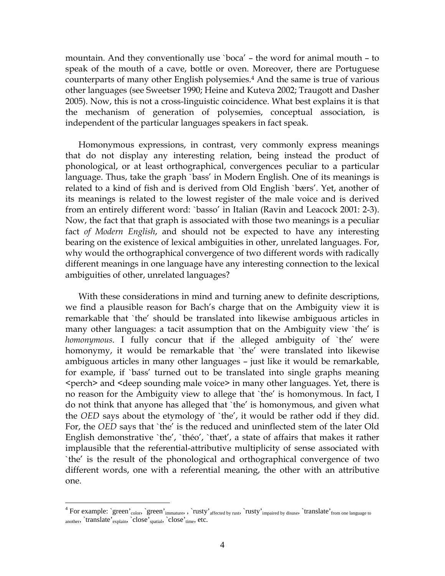mountain. And they conventionally use `boca' – the word for animal mouth – to speak of the mouth of a cave, bottle or oven. Moreover, there are Portuguese counterparts of many other English polysemies.[4](#page-3-0) And the same is true of various other languages (see Sweetser 1990; Heine and Kuteva 2002; Traugott and Dasher 2005). Now, this is not a cross-linguistic coincidence. What best explains it is that the mechanism of generation of polysemies, conceptual association, is independent of the particular languages speakers in fact speak.

Homonymous expressions, in contrast, very commonly express meanings that do not display any interesting relation, being instead the product of phonological, or at least orthographical, convergences peculiar to a particular language. Thus, take the graph `bass' in Modern English. One of its meanings is related to a kind of fish and is derived from Old English `bærs'. Yet, another of its meanings is related to the lowest register of the male voice and is derived from an entirely different word: `basso' in Italian (Ravin and Leacock 2001: 2-3). Now, the fact that that graph is associated with those two meanings is a peculiar fact *of Modern English*, and should not be expected to have any interesting bearing on the existence of lexical ambiguities in other, unrelated languages. For, why would the orthographical convergence of two different words with radically different meanings in one language have any interesting connection to the lexical ambiguities of other, unrelated languages?

With these considerations in mind and turning anew to definite descriptions, we find a plausible reason for Bach's charge that on the Ambiguity view it is remarkable that `the' should be translated into likewise ambiguous articles in many other languages: a tacit assumption that on the Ambiguity view `the' is *homonymous*. I fully concur that if the alleged ambiguity of `the' were homonymy, it would be remarkable that `the' were translated into likewise ambiguous articles in many other languages – just like it would be remarkable, for example, if `bass' turned out to be translated into single graphs meaning <perch> and <deep sounding male voice> in many other languages. Yet, there is no reason for the Ambiguity view to allege that `the' is homonymous. In fact, I do not think that anyone has alleged that `the' is homonymous, and given what the *OED* says about the etymology of `the', it would be rather odd if they did. For, the *OED* says that `the' is the reduced and uninflected stem of the later Old English demonstrative `the', `théo', `thæt', a state of affairs that makes it rather implausible that the referential-attributive multiplicity of sense associated with `the' is the result of the phonological and orthographical convergence of two different words, one with a referential meaning, the other with an attributive one.

<span id="page-3-0"></span> $\frac{1}{4}$ <sup>4</sup> For example: `green'<sub>color</sub>, `green'<sub>immature</sub>, , `rusty'<sub>affected by rust, `rusty'<sub>impaired by disuse</sub>, `translate'<sub>from one language to</sub></sub>  $a_{\text{another}}$ , `translate'<sub>explain</sub>, `close'<sub>spatial</sub>, `close'<sub>time</sub>, etc.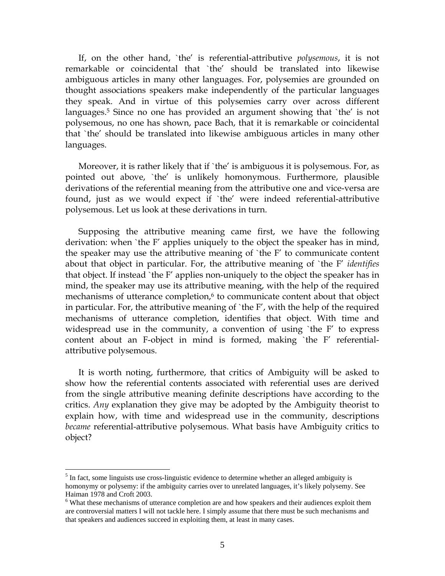If, on the other hand, `the' is referential-attributive *polysemous*, it is not remarkable or coincidental that `the' should be translated into likewise ambiguous articles in many other languages. For, polysemies are grounded on thought associations speakers make independently of the particular languages they speak. And in virtue of this polysemies carry over across different languages.<sup>5</sup> Since no one has provided an argument showing that `the' is not polysemous, no one has shown, pace Bach, that it is remarkable or coincidental that `the' should be translated into likewise ambiguous articles in many other languages.

Moreover, it is rather likely that if `the' is ambiguous it is polysemous. For, as pointed out above, `the' is unlikely homonymous. Furthermore, plausible derivations of the referential meaning from the attributive one and vice-versa are found, just as we would expect if `the' were indeed referential-attributive polysemous. Let us look at these derivations in turn.

Supposing the attributive meaning came first, we have the following derivation: when `the F' applies uniquely to the object the speaker has in mind, the speaker may use the attributive meaning of `the F' to communicate content about that object in particular. For, the attributive meaning of `the F' *identifies* that object. If instead `the F' applies non-uniquely to the object the speaker has in mind, the speaker may use its attributive meaning, with the help of the required mechanisms of utterance completion,<sup>6</sup> to communicate content about that object in particular. For, the attributive meaning of `the F', with the help of the required mechanisms of utterance completion, identifies that object. With time and widespread use in the community, a convention of using `the F' to express content about an F-object in mind is formed, making `the F' referentialattributive polysemous.

It is worth noting, furthermore, that critics of Ambiguity will be asked to show how the referential contents associated with referential uses are derived from the single attributive meaning definite descriptions have according to the critics. *Any* explanation they give may be adopted by the Ambiguity theorist to explain how, with time and widespread use in the community, descriptions *became* referential-attributive polysemous. What basis have Ambiguity critics to object?

<span id="page-4-0"></span> $\frac{1}{5}$  $<sup>5</sup>$  In fact, some linguists use cross-linguistic evidence to determine whether an alleged ambiguity is</sup> homonymy or polysemy: if the ambiguity carries over to unrelated languages, it's likely polysemy. See Haiman 1978 and Croft 2003.<br><sup>6</sup> What these mechanisms of utterance completion are and how speakers and their audiences exploit them

<span id="page-4-1"></span>are controversial matters I will not tackle here. I simply assume that there must be such mechanisms and that speakers and audiences succeed in exploiting them, at least in many cases.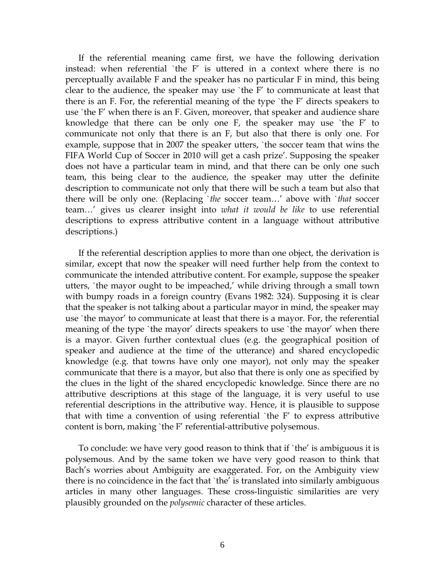If the referential meaning came first, we have the following derivation instead: when referential `the F' is uttered in a context where there is no perceptually available F and the speaker has no particular F in mind, this being clear to the audience, the speaker may use `the F' to communicate at least that there is an F. For, the referential meaning of the type `the F' directs speakers to use `the F' when there is an F. Given, moreover, that speaker and audience share knowledge that there can be only one  $F$ , the speaker may use `the  $F'$  to communicate not only that there is an F, but also that there is only one. For example, suppose that in 2007 the speaker utters, `the soccer team that wins the FIFA World Cup of Soccer in 2010 will get a cash prize'. Supposing the speaker does not have a particular team in mind, and that there can be only one such team, this being clear to the audience, the speaker may utter the definite description to communicate not only that there will be such a team but also that there will be only one. (Replacing `*the* soccer team…' above with `*that* soccer team…' gives us clearer insight into *what it would be like* to use referential descriptions to express attributive content in a language without attributive descriptions.)

If the referential description applies to more than one object, the derivation is similar, except that now the speaker will need further help from the context to communicate the intended attributive content. For example, suppose the speaker utters, `the mayor ought to be impeached,' while driving through a small town with bumpy roads in a foreign country (Evans 1982: 324). Supposing it is clear that the speaker is not talking about a particular mayor in mind, the speaker may use `the mayor' to communicate at least that there is a mayor. For, the referential meaning of the type `the mayor' directs speakers to use `the mayor' when there is a mayor. Given further contextual clues (e.g. the geographical position of speaker and audience at the time of the utterance) and shared encyclopedic knowledge (e.g. that towns have only one mayor), not only may the speaker communicate that there is a mayor, but also that there is only one as specified by the clues in the light of the shared encyclopedic knowledge. Since there are no attributive descriptions at this stage of the language, it is very useful to use referential descriptions in the attributive way. Hence, it is plausible to suppose that with time a convention of using referential `the F' to express attributive content is born, making `the F' referential-attributive polysemous.

To conclude: we have very good reason to think that if `the' is ambiguous it is polysemous. And by the same token we have very good reason to think that Bach's worries about Ambiguity are exaggerated. For, on the Ambiguity view there is no coincidence in the fact that `the' is translated into similarly ambiguous articles in many other languages. These cross-linguistic similarities are very plausibly grounded on the *polysemic* character of these articles.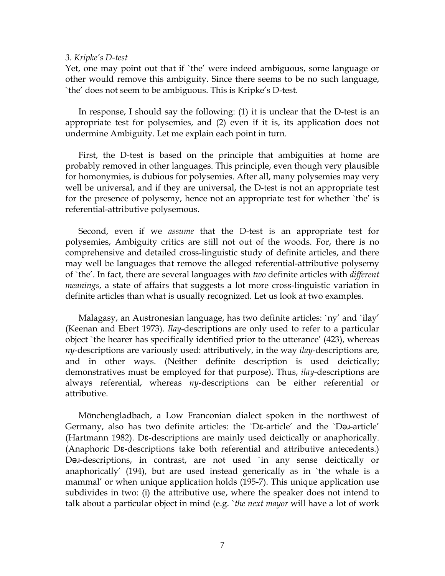#### *3. Kripke's D-test*

Yet, one may point out that if `the' were indeed ambiguous, some language or other would remove this ambiguity. Since there seems to be no such language, `the' does not seem to be ambiguous. This is Kripke's D-test.

In response, I should say the following: (1) it is unclear that the D-test is an appropriate test for polysemies, and (2) even if it is, its application does not undermine Ambiguity. Let me explain each point in turn.

First, the D-test is based on the principle that ambiguities at home are probably removed in other languages. This principle, even though very plausible for homonymies, is dubious for polysemies. After all, many polysemies may very well be universal, and if they are universal, the D-test is not an appropriate test for the presence of polysemy, hence not an appropriate test for whether `the' is referential-attributive polysemous.

Second, even if we *assume* that the D-test is an appropriate test for polysemies, Ambiguity critics are still not out of the woods. For, there is no comprehensive and detailed cross-linguistic study of definite articles, and there may well be languages that remove the alleged referential-attributive polysemy of `the'. In fact, there are several languages with *two* definite articles with *different meanings*, a state of affairs that suggests a lot more cross-linguistic variation in definite articles than what is usually recognized. Let us look at two examples.

Malagasy, an Austronesian language, has two definite articles: `ny' and `ilay' (Keenan and Ebert 1973). *Ilay*-descriptions are only used to refer to a particular object `the hearer has specifically identified prior to the utterance' (423), whereas *ny*-descriptions are variously used: attributively, in the way *ilay*-descriptions are, and in other ways. (Neither definite description is used deictically; demonstratives must be employed for that purpose). Thus, *ilay*-descriptions are always referential, whereas *ny*-descriptions can be either referential or attributive.

Mönchengladbach, a Low Franconian dialect spoken in the northwest of Germany, also has two definite articles: the  $\Delta E$ -article' and the  $\Delta E$ -article' (Hartmann 1982). De-descriptions are mainly used deictically or anaphorically. (Anaphoric De-descriptions take both referential and attributive antecedents.) Deu-descriptions, in contrast, are not used `in any sense deictically or anaphorically' (194), but are used instead generically as in `the whale is a mammal' or when unique application holds (195-7). This unique application use subdivides in two: (i) the attributive use, where the speaker does not intend to talk about a particular object in mind (e.g. `*the next mayor* will have a lot of work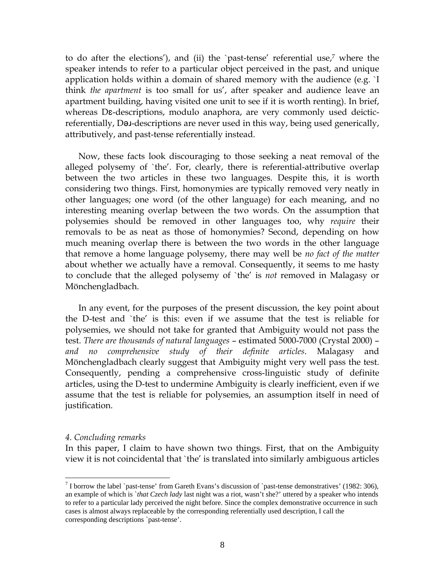to do after the elections'), and (ii) the `past-tense' referential use,[7](#page-7-0) where the speaker intends to refer to a particular object perceived in the past, and unique application holds within a domain of shared memory with the audience (e.g. `I think *the apartment* is too small for us', after speaker and audience leave an apartment building, having visited one unit to see if it is worth renting). In brief, whereas De-descriptions, modulo anaphora, are very commonly used deicticreferentially, Dau-descriptions are never used in this way, being used generically, attributively, and past-tense referentially instead.

Now, these facts look discouraging to those seeking a neat removal of the alleged polysemy of `the'. For, clearly, there is referential-attributive overlap between the two articles in these two languages. Despite this, it is worth considering two things. First, homonymies are typically removed very neatly in other languages; one word (of the other language) for each meaning, and no interesting meaning overlap between the two words. On the assumption that polysemies should be removed in other languages too, why *require* their removals to be as neat as those of homonymies? Second, depending on how much meaning overlap there is between the two words in the other language that remove a home language polysemy, there may well be *no fact of the matter* about whether we actually have a removal. Consequently, it seems to me hasty to conclude that the alleged polysemy of `the' is *not* removed in Malagasy or Mönchengladbach.

In any event, for the purposes of the present discussion, the key point about the D-test and `the' is this: even if we assume that the test is reliable for polysemies, we should not take for granted that Ambiguity would not pass the test. *There are thousands of natural languages* – estimated 5000-7000 (Crystal 2000) – *and no comprehensive study of their definite articles*. Malagasy and Mönchengladbach clearly suggest that Ambiguity might very well pass the test. Consequently, pending a comprehensive cross-linguistic study of definite articles, using the D-test to undermine Ambiguity is clearly inefficient, even if we assume that the test is reliable for polysemies, an assumption itself in need of justification.

## *4. Concluding remarks*

In this paper, I claim to have shown two things. First, that on the Ambiguity view it is not coincidental that `the' is translated into similarly ambiguous articles

<span id="page-7-0"></span> $\frac{1}{7}$  $\frac{7}{1}$  borrow the label `past-tense' from Gareth Evans's discussion of `past-tense demonstratives' (1982: 306), an example of which is `*that Czech lady* last night was a riot, wasn't she?' uttered by a speaker who intends to refer to a particular lady perceived the night before. Since the complex demonstrative occurrence in such cases is almost always replaceable by the corresponding referentially used description, I call the corresponding descriptions `past-tense'.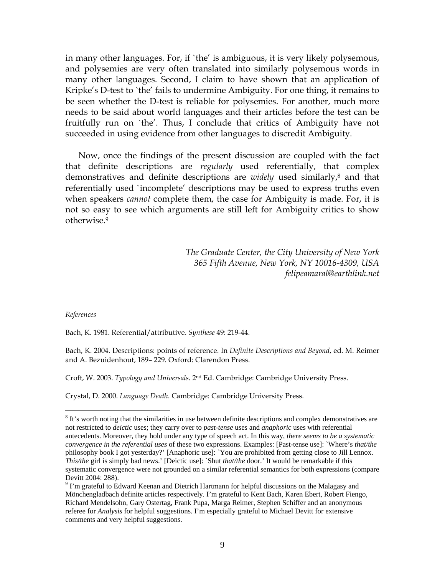in many other languages. For, if `the' is ambiguous, it is very likely polysemous, and polysemies are very often translated into similarly polysemous words in many other languages. Second, I claim to have shown that an application of Kripke's D-test to `the' fails to undermine Ambiguity. For one thing, it remains to be seen whether the D-test is reliable for polysemies. For another, much more needs to be said about world languages and their articles before the test can be fruitfully run on `the'. Thus, I conclude that critics of Ambiguity have not succeeded in using evidence from other languages to discredit Ambiguity.

Now, once the findings of the present discussion are coupled with the fact that definite descriptions are *regularly* used referentially, that complex demonstratives and definite descriptions are *widely* used similarly,[8](#page-8-0) and that referentially used `incomplete' descriptions may be used to express truths even when speakers *cannot* complete them, the case for Ambiguity is made. For, it is not so easy to see which arguments are still left for Ambiguity critics to show otherwise[.9](#page-8-1)

> *The Graduate Center, the City University of New York 365 Fifth Avenue, New York, NY 10016-4309, USA felipeamaral@earthlink.net*

#### *References*

Bach, K. 1981. Referential/attributive. *Synthese* 49: 219-44.

Bach, K. 2004. Descriptions: points of reference. In *Definite Descriptions and Beyond*, ed. M. Reimer and A. Bezuidenhout, 189– 229. Oxford: Clarendon Press.

Croft, W. 2003. *Typology and Universals*. 2nd Ed. Cambridge: Cambridge University Press.

Crystal, D. 2000. *Language Death*. Cambridge: Cambridge University Press.

<span id="page-8-0"></span> <sup>8</sup>  ${}^8$  It's worth noting that the similarities in use between definite descriptions and complex demonstratives are not restricted to *deictic* uses; they carry over to *past-tense* uses and *anaphoric* uses with referential antecedents. Moreover, they hold under any type of speech act. In this way, *there seems to be a systematic convergence in the referential uses* of these two expressions. Examples: [Past-tense use]: `Where's *that/the* philosophy book I got yesterday?' [Anaphoric use]: `You are prohibited from getting close to Jill Lennox. *This/the* girl is simply bad news.' [Deictic use]: `Shut *that/the* door.' It would be remarkable if this systematic convergence were not grounded on a similar referential semantics for both expressions (compare Devitt 2004: 288).

<span id="page-8-1"></span><sup>&</sup>lt;sup>9</sup> I'm grateful to Edward Keenan and Dietrich Hartmann for helpful discussions on the Malagasy and Mönchengladbach definite articles respectively. I'm grateful to Kent Bach, Karen Ebert, Robert Fiengo, Richard Mendelsohn, Gary Ostertag, Frank Pupa, Marga Reimer, Stephen Schiffer and an anonymous referee for *Analysis* for helpful suggestions. I'm especially grateful to Michael Devitt for extensive comments and very helpful suggestions.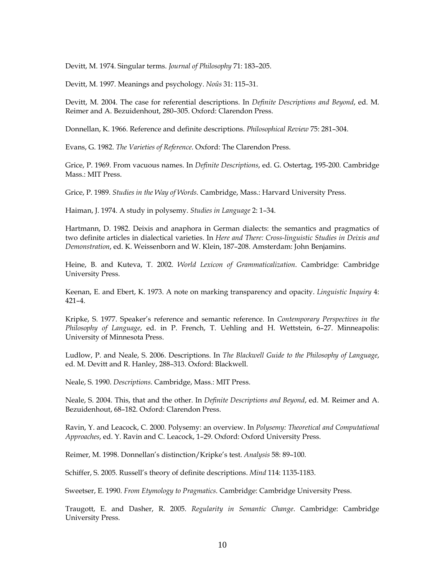Devitt, M. 1974. Singular terms. *Journal of Philosophy* 71: 183–205.

Devitt, M. 1997. Meanings and psychology. *Noûs* 31: 115–31.

Devitt, M. 2004. The case for referential descriptions. In *Definite Descriptions and Beyond*, ed. M. Reimer and A. Bezuidenhout, 280–305. Oxford: Clarendon Press.

Donnellan, K. 1966. Reference and definite descriptions. *Philosophical Review* 75: 281–304.

Evans, G. 1982. *The Varieties of Reference*. Oxford: The Clarendon Press.

Grice, P. 1969. From vacuous names. In *Definite Descriptions*, ed. G. Ostertag, 195-200. Cambridge Mass.: MIT Press.

Grice, P. 1989. *Studies in the Way of Words*. Cambridge, Mass.: Harvard University Press.

Haiman, J. 1974. A study in polysemy. *Studies in Language* 2: 1–34.

Hartmann, D. 1982. Deixis and anaphora in German dialects: the semantics and pragmatics of two definite articles in dialectical varieties. In *Here and There: Cross-linguistic Studies in Deixis and Demonstration*, ed. K. Weissenborn and W. Klein, 187–208. Amsterdam: John Benjamins.

Heine, B. and Kuteva, T. 2002. *World Lexicon of Grammaticalization*. Cambridge: Cambridge University Press.

Keenan, E. and Ebert, K. 1973. A note on marking transparency and opacity. *Linguistic Inquiry* 4: 421–4.

Kripke, S. 1977. Speaker's reference and semantic reference. In *Contemporary Perspectives in the Philosophy of Language*, ed. in P. French, T. Uehling and H. Wettstein, 6–27. Minneapolis: University of Minnesota Press.

Ludlow, P. and Neale, S. 2006. Descriptions. In *The Blackwell Guide to the Philosophy of Language*, ed. M. Devitt and R. Hanley, 288–313. Oxford: Blackwell.

Neale, S. 1990. *Descriptions*. Cambridge, Mass.: MIT Press.

Neale, S. 2004. This, that and the other. In *Definite Descriptions and Beyond*, ed. M. Reimer and A. Bezuidenhout, 68–182. Oxford: Clarendon Press.

Ravin, Y. and Leacock, C. 2000. Polysemy: an overview. In *Polysemy: Theoretical and Computational Approaches*, ed. Y. Ravin and C. Leacock, 1–29. Oxford: Oxford University Press.

Reimer, M. 1998. Donnellan's distinction/Kripke's test. *Analysis* 58: 89–100.

Schiffer, S. 2005. Russell's theory of definite descriptions. *Mind* 114: 1135-1183.

Sweetser, E. 1990. *From Etymology to Pragmatics*. Cambridge: Cambridge University Press.

Traugott, E. and Dasher, R. 2005. *Regularity in Semantic Change*. Cambridge: Cambridge University Press.